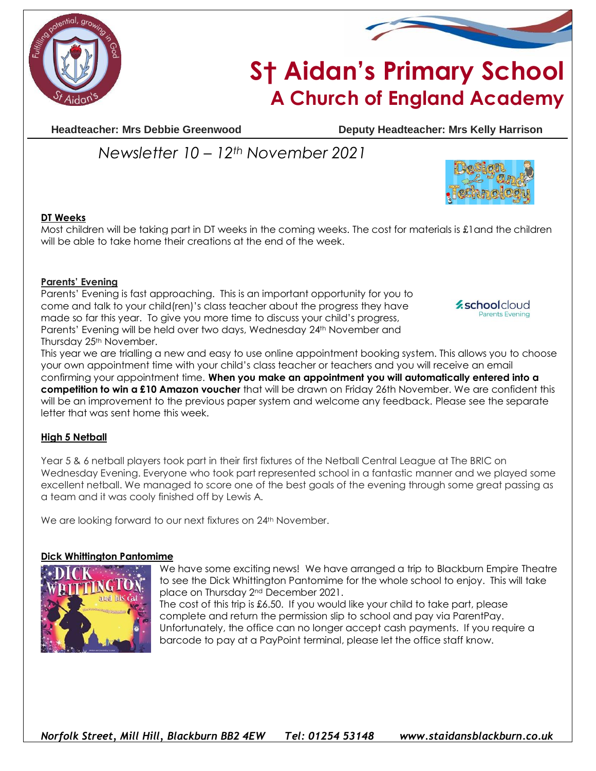



# **S† Aidan's Primary School A Church of England Academy**

**Headteacher: Mrs Debbie Greenwood Deputy Headteacher: Mrs Kelly Harrison**

## *Newsletter 10 – 12th November 2021*



### **DT Weeks**

Most children will be taking part in DT weeks in the coming weeks. The cost for materials is £1and the children will be able to take home their creations at the end of the week.

#### **Parents' Evening**

Parents' Evening is fast approaching. This is an important opportunity for you to come and talk to your child(ren)'s class teacher about the progress they have made so far this year. To give you more time to discuss your child's progress, Parents' Evening will be held over two days, Wednesday 24th November and Thursday 25<sup>th</sup> November.

**z**schoolcloud Parents Evening

This year we are trialling a new and easy to use online appointment booking system. This allows you to choose your own appointment time with your child's class teacher or teachers and you will receive an email confirming your appointment time. **When you make an appointment you will automatically entered into a competition to win a £10 Amazon voucher** that will be drawn on Friday 26th November. We are confident this will be an improvement to the previous paper system and welcome any feedback. Please see the separate letter that was sent home this week.

#### **High 5 Netball**

Year 5 & 6 netball players took part in their first fixtures of the Netball Central League at The BRIC on Wednesday Evening. Everyone who took part represented school in a fantastic manner and we played some excellent netball. We managed to score one of the best goals of the evening through some great passing as a team and it was cooly finished off by Lewis A.

We are looking forward to our next fixtures on 24<sup>th</sup> November.

#### **Dick Whittington Pantomime**



We have some exciting news! We have arranged a trip to Blackburn Empire Theatre to see the Dick Whittington Pantomime for the whole school to enjoy. This will take place on Thursday 2nd December 2021.

The cost of this trip is £6.50. If you would like your child to take part, please complete and return the permission slip to school and pay via ParentPay. Unfortunately, the office can no longer accept cash payments. If you require a barcode to pay at a PayPoint terminal, please let the office staff know.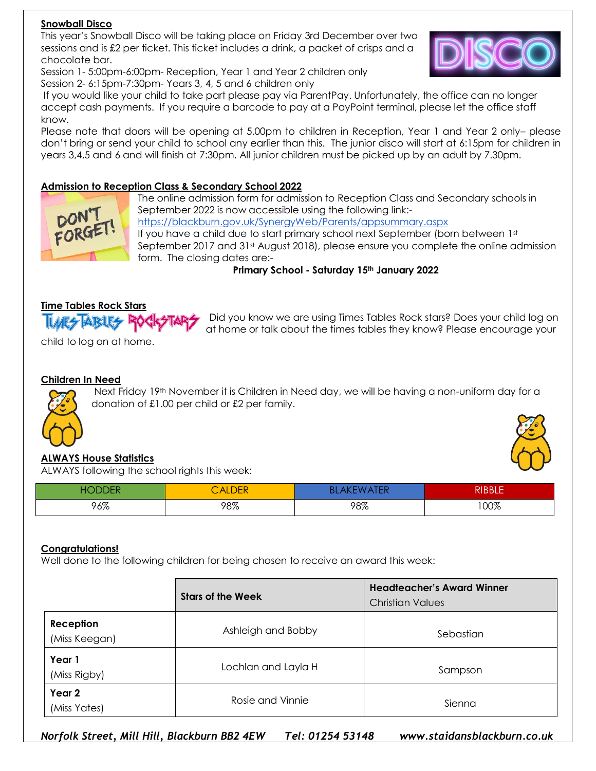#### **Snowball Disco**

This year's Snowball Disco will be taking place on Friday 3rd December over two sessions and is £2 per ticket. This ticket includes a drink, a packet of crisps and a chocolate bar.



Session 1-5:00pm-6:00pm- Reception, Year 1 and Year 2 children only Session 2- 6:15pm-7:30pm- Years 3, 4, 5 and 6 children only

If you would like your child to take part please pay via ParentPay. Unfortunately, the office can no longer accept cash payments. If you require a barcode to pay at a PayPoint terminal, please let the office staff know.

Please note that doors will be opening at 5.00pm to children in Reception, Year 1 and Year 2 only– please don't bring or send your child to school any earlier than this. The junior disco will start at 6:15pm for children in years 3,4,5 and 6 and will finish at 7:30pm. All junior children must be picked up by an adult by 7.30pm.

#### **Admission to Reception Class & Secondary School 2022**



The online admission form for admission to Reception Class and Secondary schools in September 2022 is now accessible using the following link: <https://blackburn.gov.uk/SynergyWeb/Parents/appsummary.aspx> If you have a child due to start primary school next September (born between 1st) September 2017 and 31<sup>st</sup> August 2018), please ensure you complete the online admission form. The closing dates are:-

**Primary School - Saturday 15th January 2022**

#### **Time Tables Rock Stars**

**IMES ABLES R** 

Did you know we are using Times Tables Rock stars? Does your child log on at home or talk about the times tables they know? Please encourage your

child to log on at home.

#### **Children In Need**



Next Friday 19th November it is Children in Need day, we will be having a non-uniform day for a donation of £1.00 per child or £2 per family.



#### **ALWAYS House Statistics**

ALWAYS following the school rights this week:

| $\sim$ $\sim$ $\sim$ $\sim$ $\sim$ | <b>ALDER</b> | ΞΝ  | <b>RIBBLE</b> |
|------------------------------------|--------------|-----|---------------|
| 96%                                | 98%          | 98% | 100%          |

#### **Congratulations!**

Well done to the following children for being chosen to receive an award this week:

|                            | <b>Stars of the Week</b> | <b>Headteacher's Award Winner</b><br><b>Christian Values</b> |
|----------------------------|--------------------------|--------------------------------------------------------------|
| Reception<br>(Miss Keegan) | Ashleigh and Bobby       | Sebastian                                                    |
| Year 1<br>(Miss Rigby)     | Lochlan and Layla H      | Sampson                                                      |
| Year 2<br>(Miss Yates)     | Rosie and Vinnie         | Sienna                                                       |

*Norfolk Street, Mill Hill, Blackburn BB2 4EW Tel: 01254 53148 www.staidansblackburn.co.uk*